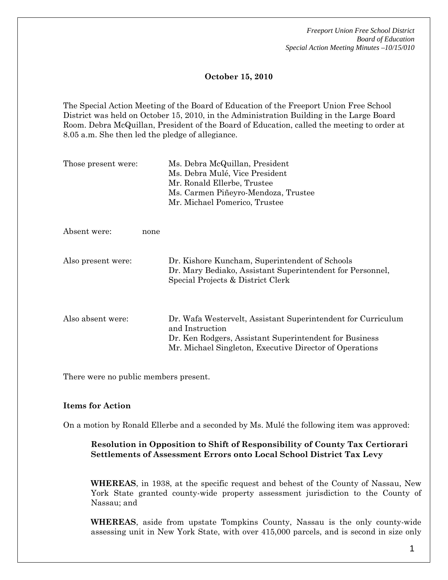*Freeport Union Free School District Board of Education Special Action Meeting Minutes –10/15/010* 

## **October 15, 2010**

The Special Action Meeting of the Board of Education of the Freeport Union Free School District was held on October 15, 2010, in the Administration Building in the Large Board Room. Debra McQuillan, President of the Board of Education, called the meeting to order at 8.05 a.m. She then led the pledge of allegiance.

| Those present were: |      | Ms. Debra McQuillan, President<br>Ms. Debra Mulé, Vice President<br>Mr. Ronald Ellerbe, Trustee<br>Ms. Carmen Piñeyro-Mendoza, Trustee<br>Mr. Michael Pomerico, Trustee                              |
|---------------------|------|------------------------------------------------------------------------------------------------------------------------------------------------------------------------------------------------------|
| Absent were:        | none |                                                                                                                                                                                                      |
| Also present were:  |      | Dr. Kishore Kuncham, Superintendent of Schools<br>Dr. Mary Bediako, Assistant Superintendent for Personnel,<br>Special Projects & District Clerk                                                     |
| Also absent were:   |      | Dr. Wafa Westervelt, Assistant Superintendent for Curriculum<br>and Instruction<br>Dr. Ken Rodgers, Assistant Superintendent for Business<br>Mr. Michael Singleton, Executive Director of Operations |

There were no public members present.

#### **Items for Action**

On a motion by Ronald Ellerbe and a seconded by Ms. Mulé the following item was approved:

# **Resolution in Opposition to Shift of Responsibility of County Tax Certiorari Settlements of Assessment Errors onto Local School District Tax Levy**

**WHEREAS**, in 1938, at the specific request and behest of the County of Nassau, New York State granted county-wide property assessment jurisdiction to the County of Nassau; and

**WHEREAS**, aside from upstate Tompkins County, Nassau is the only county-wide assessing unit in New York State, with over 415,000 parcels, and is second in size only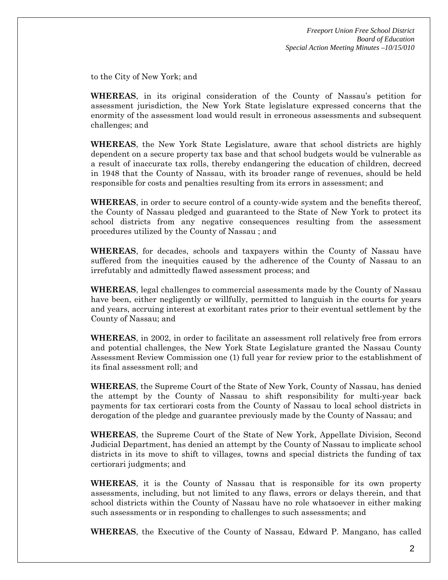to the City of New York; and

**WHEREAS**, in its original consideration of the County of Nassau's petition for assessment jurisdiction, the New York State legislature expressed concerns that the enormity of the assessment load would result in erroneous assessments and subsequent challenges; and

**WHEREAS**, the New York State Legislature, aware that school districts are highly dependent on a secure property tax base and that school budgets would be vulnerable as a result of inaccurate tax rolls, thereby endangering the education of children, decreed in 1948 that the County of Nassau, with its broader range of revenues, should be held responsible for costs and penalties resulting from its errors in assessment; and

**WHEREAS**, in order to secure control of a county-wide system and the benefits thereof, the County of Nassau pledged and guaranteed to the State of New York to protect its school districts from any negative consequences resulting from the assessment procedures utilized by the County of Nassau ; and

**WHEREAS**, for decades, schools and taxpayers within the County of Nassau have suffered from the inequities caused by the adherence of the County of Nassau to an irrefutably and admittedly flawed assessment process; and

**WHEREAS**, legal challenges to commercial assessments made by the County of Nassau have been, either negligently or willfully, permitted to languish in the courts for years and years, accruing interest at exorbitant rates prior to their eventual settlement by the County of Nassau; and

**WHEREAS**, in 2002, in order to facilitate an assessment roll relatively free from errors and potential challenges, the New York State Legislature granted the Nassau County Assessment Review Commission one (1) full year for review prior to the establishment of its final assessment roll; and

**WHEREAS**, the Supreme Court of the State of New York, County of Nassau, has denied the attempt by the County of Nassau to shift responsibility for multi-year back payments for tax certiorari costs from the County of Nassau to local school districts in derogation of the pledge and guarantee previously made by the County of Nassau; and

**WHEREAS**, the Supreme Court of the State of New York, Appellate Division, Second Judicial Department, has denied an attempt by the County of Nassau to implicate school districts in its move to shift to villages, towns and special districts the funding of tax certiorari judgments; and

**WHEREAS**, it is the County of Nassau that is responsible for its own property assessments, including, but not limited to any flaws, errors or delays therein, and that school districts within the County of Nassau have no role whatsoever in either making such assessments or in responding to challenges to such assessments; and

**WHEREAS**, the Executive of the County of Nassau, Edward P. Mangano, has called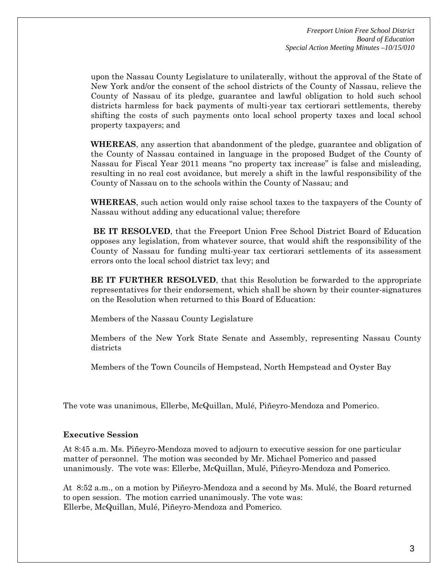upon the Nassau County Legislature to unilaterally, without the approval of the State of New York and/or the consent of the school districts of the County of Nassau, relieve the County of Nassau of its pledge, guarantee and lawful obligation to hold such school districts harmless for back payments of multi-year tax certiorari settlements, thereby shifting the costs of such payments onto local school property taxes and local school property taxpayers; and

**WHEREAS**, any assertion that abandonment of the pledge, guarantee and obligation of the County of Nassau contained in language in the proposed Budget of the County of Nassau for Fiscal Year 2011 means "no property tax increase" is false and misleading, resulting in no real cost avoidance, but merely a shift in the lawful responsibility of the County of Nassau on to the schools within the County of Nassau; and

**WHEREAS**, such action would only raise school taxes to the taxpayers of the County of Nassau without adding any educational value; therefore

**BE IT RESOLVED**, that the Freeport Union Free School District Board of Education opposes any legislation, from whatever source, that would shift the responsibility of the County of Nassau for funding multi-year tax certiorari settlements of its assessment errors onto the local school district tax levy; and

**BE IT FURTHER RESOLVED**, that this Resolution be forwarded to the appropriate representatives for their endorsement, which shall be shown by their counter-signatures on the Resolution when returned to this Board of Education:

Members of the Nassau County Legislature

Members of the New York State Senate and Assembly, representing Nassau County districts

Members of the Town Councils of Hempstead, North Hempstead and Oyster Bay

The vote was unanimous, Ellerbe, McQuillan, Mulé, Piñeyro-Mendoza and Pomerico.

## **Executive Session**

At 8:45 a.m. Ms. Piñeyro-Mendoza moved to adjourn to executive session for one particular matter of personnel. The motion was seconded by Mr. Michael Pomerico and passed unanimously. The vote was: Ellerbe, McQuillan, Mulé, Piñeyro-Mendoza and Pomerico.

At 8:52 a.m., on a motion by Piñeyro-Mendoza and a second by Ms. Mulé, the Board returned to open session. The motion carried unanimously. The vote was: Ellerbe, McQuillan, Mulé, Piñeyro-Mendoza and Pomerico.